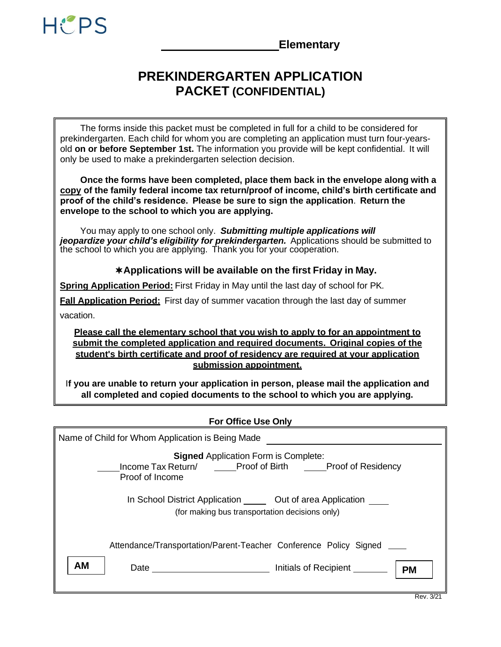

**Elementary**

# **PREKINDERGARTEN APPLICATION PACKET (CONFIDENTIAL)**

The forms inside this packet must be completed in full for a child to be considered for prekindergarten. Each child for whom you are completing an application must turn four-yearsold **on or before September 1st.** The information you provide will be kept confidential. It will only be used to make a prekindergarten selection decision.

**Once the forms have been completed, place them back in the envelope along with a copy of the family federal income tax return/proof of income, child's birth certificate and proof of the child's residence. Please be sure to sign the application**. **Return the envelope to the school to which you are applying.**

You may apply to one school only. *Submitting multiple applications will jeopardize your child's eligibility for prekindergarten.* Applications should be submitted to the school to which you are applying. Thank you for your cooperation.

# **Applications will be available on the first Friday in May.**

**Spring Application Period:** First Friday in May until the last day of school for PK.

**Fall Application Period:** First day of summer vacation through the last day of summer vacation.

**Please call the elementary school that you wish to apply to for an appointment to submit the completed application and required documents. Original copies of the student's birth certificate and proof of residency are required at your application submission appointment.**

I**f you are unable to return your application in person, please mail the application and all completed and copied documents to the school to which you are applying.**

### **For Office Use Only**

| Name of Child for Whom Application is Being Made                                                                                                        |  |  |  |
|---------------------------------------------------------------------------------------------------------------------------------------------------------|--|--|--|
| <b>Signed Application Form is Complete:</b><br>Income Tax Return/ ______Proof of Birth ______Proof of Residency<br>Proof of Income                      |  |  |  |
| In School District Application _______ Out of area Application<br>(for making bus transportation decisions only)                                        |  |  |  |
| Attendance/Transportation/Parent-Teacher Conference Policy Signed<br><b>AM</b><br>Initials of Recipient<br>Date <u>___________________</u><br><b>PM</b> |  |  |  |

Rev. 3/21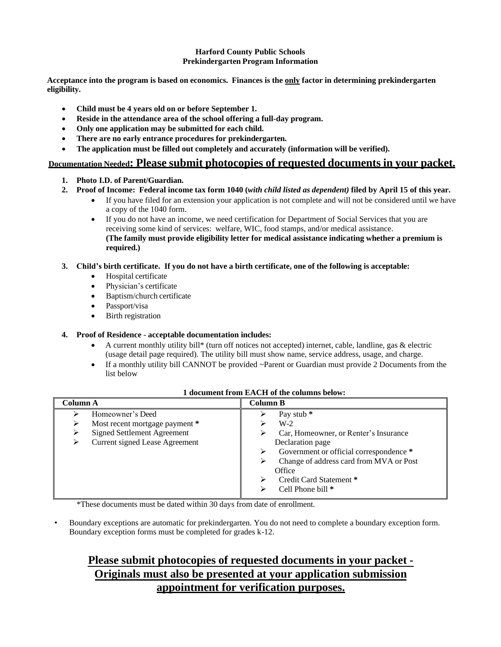#### **Harford County Public Schools Prekindergarten Program Information**

**Acceptance into the program is based on economics. Finances is the only factor in determining prekindergarten eligibility.**

- **Child must be 4 years old on or before September 1.**
- **Reside in the attendance area of the school offering a full-day program.**
- **Only one application may be submitted for each child.**
- **There are no early entrance procedures for prekindergarten.**
- **The application must be filled out completely and accurately (information will be verified).**

## **Documentation Needed: Please submit photocopies of requested documents in your packet.**

- **1. Photo I.D. of Parent/Guardian.**
- 2. Proof of Income: Federal income tax form 1040 (with child listed as dependent) filed by April 15 of this year.
	- If you have filed for an extension your application is not complete and will not be considered until we have a copy of the 1040 form.
	- If you do not have an income, we need certification for Department of Social Services that you are receiving some kind of services: welfare, WIC, food stamps, and/or medical assistance. **(The family must provide eligibility letter for medical assistance indicating whether a premium is required.)**

#### 3. Child's birth certificate. If you do not have a birth certificate, one of the following is acceptable:

- Hospital certificate
- Physician's certificate
- Baptism/church certificate
- Passport/visa
- Birth registration

### **4. Proof of Residence** - **acceptable documentation includes:**

- A current monthly utility bill\* (turn off notices not accepted) internet, cable, landline, gas & electric (usage detail page required). The utility bill must show name, service address, usage, and charge.
- If a monthly utility bill CANNOT be provided ~Parent or Guardian must provide 2 Documents from the list below

| Column A                                                                                                                        | Column B                                                                                                                                                                                                                                                        |  |  |
|---------------------------------------------------------------------------------------------------------------------------------|-----------------------------------------------------------------------------------------------------------------------------------------------------------------------------------------------------------------------------------------------------------------|--|--|
| Homeowner's Deed<br>Most recent mortgage payment *<br><b>Signed Settlement Agreement</b><br>Current signed Lease Agreement<br>➤ | Pay stub <sup>*</sup><br>$W-2$<br>Car, Homeowner, or Renter's Insurance<br>⋗<br>Declaration page<br>Government or official correspondence *<br>⋗<br>Change of address card from MVA or Post<br>⋗<br>Office<br>Credit Card Statement *<br>⋗<br>Cell Phone bill * |  |  |

#### **1 document from EACH of the columns below:**

\*These documents must be dated within 30 days from date of enrollment.

• Boundary exceptions are automatic for prekindergarten. You do not need to complete a boundary exception form. Boundary exception forms must be completed for grades k-12.

# **Please submit photocopies of requested documents in your packet - Originals must also be presented at your application submission appointment for verification purposes.**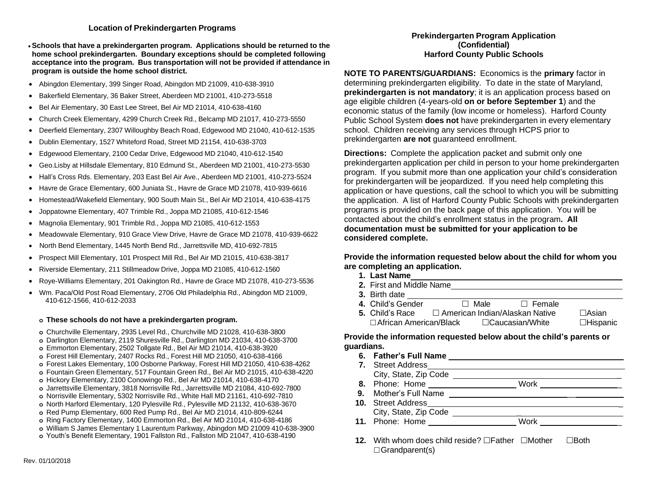#### **Location of Prekindergarten Programs**

- •**Schools that have a prekindergarten program. Applications should be returned to the home school prekindergarten. Boundary exceptions should be completed following acceptance into the program. Bus transportation will not be provided if attendance in program is outside the home school district.**
- Abingdon Elementary, 399 Singer Road, Abingdon MD 21009, 410-638-3910
- Bakerfield Elementary, 36 Baker Street, Aberdeen MD 21001, 410-273-5518
- Bel Air Elementary, 30 East Lee Street, Bel Air MD 21014, 410-638-4160
- Church Creek Elementary, 4299 Church Creek Rd., Belcamp MD 21017, 410-273-5550
- Deerfield Elementary, 2307 Willoughby Beach Road, Edgewood MD 21040, 410-612-1535
- Dublin Elementary, 1527 Whiteford Road, Street MD 21154, 410-638-3703
- Edgewood Elementary, 2100 Cedar Drive, Edgewood MD 21040, 410-612-1540
- Geo.Lisby at Hillsdale Elementary, 810 Edmund St., Aberdeen MD 21001, 410-273-5530
- Hall's Cross Rds. Elementary, 203 East Bel Air Ave., Aberdeen MD 21001, 410-273-5524
- Havre de Grace Elementary, 600 Juniata St., Havre de Grace MD 21078, 410-939-6616
- Homestead/Wakefield Elementary, 900 South Main St., Bel Air MD 21014, 410-638-4175
- Joppatowne Elementary, 407 Trimble Rd., Joppa MD 21085, 410-612-1546
- Magnolia Elementary, 901 Trimble Rd., Joppa MD 21085, 410-612-1553
- Meadowvale Elementary, 910 Grace View Drive, Havre de Grace MD 21078, 410-939-6622
- North Bend Elementary, 1445 North Bend Rd., Jarrettsville MD, 410-692-7815
- Prospect Mill Elementary, 101 Prospect Mill Rd., Bel Air MD 21015, 410-638-3817
- Riverside Elementary, 211 Stillmeadow Drive, Joppa MD 21085, 410-612-1560
- Roye-Williams Elementary, 201 Oakington Rd., Havre de Grace MD 21078, 410-273-5536
- Wm. Paca/Old Post Road Elementary, 2706 Old Philadelphia Rd., Abingdon MD 21009, 410-612-1566, 410-612-2033

#### **o These schools do not have a prekindergarten program.**

- **o** Churchville Elementary, 2935 Level Rd., Churchville MD 21028, 410-638-3800
- **o** Darlington Elementary, 2119 Shuresville Rd., Darlington MD 21034, 410-638-3700
- **o** Emmorton Elementary, 2502 Tollgate Rd., Bel Air MD 21014, 410-638-3920
- **o** Forest Hill Elementary, 2407 Rocks Rd., Forest Hill MD 21050, 410-638-4166
- **o** Forest Lakes Elementary, 100 Osborne Parkway, Forest Hill MD 21050, 410-638-4262
- **o** Fountain Green Elementary, 517 Fountain Green Rd., Bel Air MD 21015, 410-638-4220
- **o** Hickory Elementary, 2100 Conowingo Rd., Bel Air MD 21014, 410-638-4170
- **o** Jarrettsville Elementary, 3818 Norrisville Rd., Jarrettsville MD 21084, 410-692-7800
- **o** Norrisville Elementary, 5302 Norrisville Rd., White Hall MD 21161, 410-692-7810
- **o** North Harford Elementary, 120 Pylesville Rd., Pylesville MD 21132, 410-638-3670
- **o** Red Pump Elementary, 600 Red Pump Rd., Bel Air MD 21014, 410-809-6244
- **o** Ring Factory Elementary, 1400 Emmorton Rd., Bel Air MD 21014, 410-638-4186
- **o** William S James Elementary 1 Laurentum Parkway, Abingdon MD 21009 410-638-3900
- **o** Youth's Benefit Elementary, 1901 Fallston Rd., Fallston MD 21047, 410-638-4190

#### **Prekindergarten Program Application (Confidential) Harford County Public Schools**

**NOTE TO PARENTS/GUARDIANS:** Economics is the **primary** factor in determining prekindergarten eligibility. To date in the state of Maryland, **prekindergarten is not mandatory**; it is an application process based on age eligible children (4-years-old **on or before September 1**) and the economic status of the family (low income or homeless). Harford County Public School System **does not** have prekindergarten in every elementary school. Children receiving any services through HCPS prior to prekindergarten **are not** guaranteed enrollment.

**Directions:** Complete the application packet and submit only one prekindergarten application per child in person to your home prekindergarten program. If you submit more than one application your child's consideration for prekindergarten will be jeopardized. If you need help completing this application or have questions, call the school to which you will be submitting the application. A list of Harford County Public Schools with prekindergarten programs is provided on the back page of this application. You will be contacted about the child's enrollment status in the program**. All documentation must be submitted for your application to be considered complete.**

**Provide the information requested below about the child for whom you are completing an application.**

- **1. Last Name**
- **2.** First and Middle Name **3.** Birth date
- **4.** Child's Gender Male Female
- **5.** Child's Race  $\Box$  American Indian/Alaskan Native  $\Box$ Asian  $\Box$  African American/Black  $\Box$ Caucasian/White  $\Box$ Hispanic

#### **Provide the information requested below about the child's parents or guardians.**

- **6. Father's Full Name**
- **7.** Street Address City, State, Zip Code \_ 8. Phone: Home Work Work 2001 **9.** Mother's Full Name **Department of the Second August** 2014 **19.** 2014 **10.** Street Address **Law 2018 10.** Street Address **Law 2018 10.** Street Address **10.** 2019 City, State, Zip Code \_ 11. Phone: Home
- **12.** With whom does child reside? **Father FMother FIROTH**  $\Box$  Grandparent(s)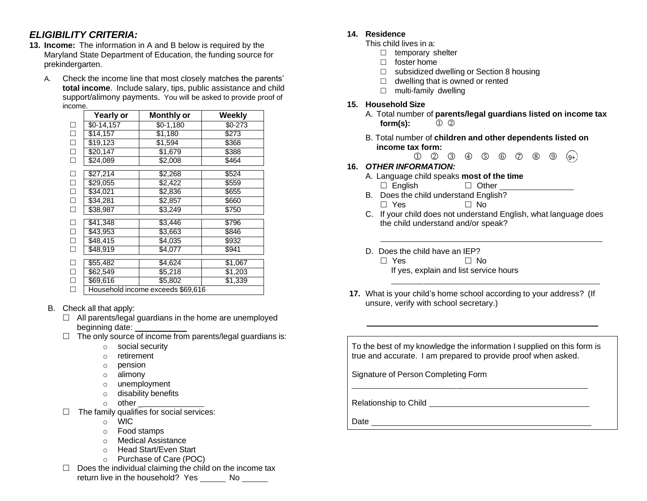# *ELIGIBILITY CRITERIA:*

- **13. Income:** The information in A and B below is required by the Maryland State Department of Education, the funding source for prekindergarten.
	- A. Check the income line that most closely matches the parents' **total income**. Include salary, tips, public assistance and child support/alimony payments. You will be asked to provide proof of income.

|        | <b>Yearly or</b> | <b>Monthly or</b>                 | <b>Weekly</b> |
|--------|------------------|-----------------------------------|---------------|
| □      | \$0-14,157       | \$0-1,180                         | $$0-273$      |
| $\Box$ | \$14,157         | \$1,180                           | \$273         |
| $\Box$ | \$19,123         | \$1,594                           | \$368         |
| $\Box$ | \$20,147         | \$1,679                           | \$388         |
| П      | \$24,089         | \$2,008                           | \$464         |
| □      | \$27.214         | \$2,268                           | \$524         |
| $\Box$ | \$29,055         | \$2,422                           | \$559         |
| $\Box$ | \$34,021         | \$2,836                           | \$655         |
| $\Box$ | \$34,281         | \$2,857                           | \$660         |
| П      | \$38,987         | \$3,249                           | \$750         |
| □      | \$41,348         | \$3,446                           | \$796         |
| $\Box$ | \$43,953         | \$3,663                           | \$846         |
| $\Box$ | \$48,415         | \$4,035                           | \$932         |
| П      | \$48.919         | \$4,077                           | \$941         |
| $\Box$ | \$55,482         | \$4,624                           | \$1,067       |
| $\Box$ | \$62,549         | \$5,218                           | \$1,203       |
| $\Box$ | \$69,616         | \$5,802                           | \$1,339       |
| П      |                  | Household income exceeds \$69,616 |               |

# B. Check all that apply:

- $\Box$  All parents/legal guardians in the home are unemployed beginning date:
- $\Box$  The only source of income from parents/legal guardians is:
	- o social security
	- o retirement
	- o pension
	- o alimony
	- o unemployment
	- o disability benefits
	- $\circ$  other  $\overline{\phantom{a}}$
- $\Box$  The family qualifies for social services:
	- o WIC
	- o Food stamps
	- o Medical Assistance
	- o Head Start/Even Start
	- o Purchase of Care (POC)
- $\Box$  Does the individual claiming the child on the income tax return live in the household? Yes No

## **14. Residence**

- This child lives in a:
	- $\Box$  temporary shelter
	- $\Box$  foster home
	- $\Box$  subsidized dwelling or Section 8 housing
	- $\Box$  dwelling that is owned or rented
	- $\Box$  multi-family dwelling

### **15. Household Size**

A. Total number of **parents/legal guardians listed on income tax form(s):**

9+

B. Total number of **children and other dependents listed on income tax form:**

#### $(1)$   $(2)$   $(3)$   $(4)$   $(5)$   $(6)$   $(7)$   $(8)$   $(9)$ **16.** *OTHER INFORMATION:*

- A. Language child speaks **most of the time**
	- $\Box$  English  $\Box$  Other
- B. Does the child understand English?  $\Box$  Yes  $\Box$  No
- C. If your child does not understand English, what language does the child understand and/or speak?
- D. Does the child have an IEP?
	- $\Box$  Yes  $\Box$  No. If yes, explain and list service hours
- **17.** What is your child's home school according to your address? (If unsure, verify with school secretary.)

To the best of my knowledge the information I supplied on this form is true and accurate. I am prepared to provide proof when asked.

Signature of Person Completing Form

Relationship to Child **Child Child Relationship to Child Child Child Child Child Child Child Child Child Child Child Child Child Child Child Child Child Child Child Child Child**

Date and the contract of the contract of the contract of the contract of the contract of the contract of the contract of the contract of the contract of the contract of the contract of the contract of the contract of the c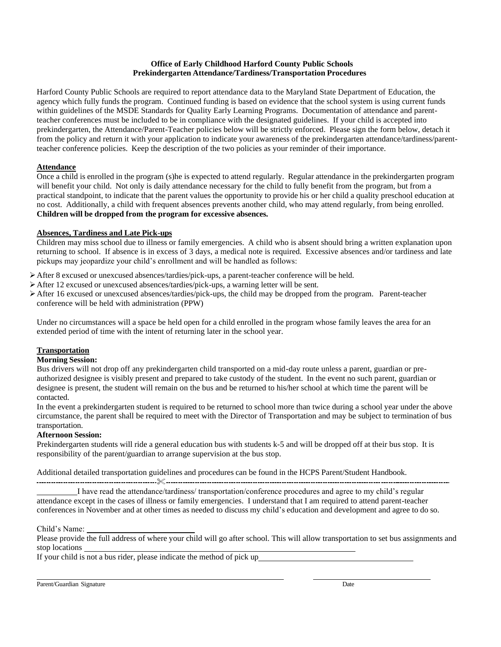#### **Office of Early Childhood Harford County Public Schools Prekindergarten Attendance/Tardiness/Transportation Procedures**

Harford County Public Schools are required to report attendance data to the Maryland State Department of Education, the agency which fully funds the program. Continued funding is based on evidence that the school system is using current funds within guidelines of the MSDE Standards for Quality Early Learning Programs. Documentation of attendance and parentteacher conferences must be included to be in compliance with the designated guidelines. If your child is accepted into prekindergarten, the Attendance/Parent-Teacher policies below will be strictly enforced. Please sign the form below, detach it from the policy and return it with your application to indicate your awareness of the prekindergarten attendance/tardiness/parentteacher conference policies. Keep the description of the two policies as your reminder of their importance.

### **Attendance**

Once a child is enrolled in the program (s)he is expected to attend regularly. Regular attendance in the prekindergarten program will benefit your child. Not only is daily attendance necessary for the child to fully benefit from the program, but from a practical standpoint, to indicate that the parent values the opportunity to provide his or her child a quality preschool education at no cost. Additionally, a child with frequent absences prevents another child, who may attend regularly, from being enrolled. **Children will be dropped from the program for excessive absences.**

#### **Absences, Tardiness and Late Pick-ups**

Children may miss school due to illness or family emergencies. A child who is absent should bring a written explanation upon returning to school. If absence is in excess of 3 days, a medical note is required. Excessive absences and/or tardiness and late pickups may jeopardize your child's enrollment and will be handled as follows:

➢After 8 excused or unexcused absences/tardies/pick-ups, a parent-teacher conference will be held.

- $\triangleright$  After 12 excused or unexcused absences/tardies/pick-ups, a warning letter will be sent.
- ➢After 16 excused or unexcused absences/tardies/pick-ups, the child may be dropped from the program. Parent-teacher conference will be held with administration (PPW)

Under no circumstances will a space be held open for a child enrolled in the program whose family leaves the area for an extended period of time with the intent of returning later in the school year.

### **Transportation**

#### **Morning Session:**

Bus drivers will not drop off any prekindergarten child transported on a mid-day route unless a parent, guardian or preauthorized designee is visibly present and prepared to take custody of the student. In the event no such parent, guardian or designee is present, the student will remain on the bus and be returned to his/her school at which time the parent will be contacted.

In the event a prekindergarten student is required to be returned to school more than twice during a school year under the above circumstance, the parent shall be required to meet with the Director of Transportation and may be subject to termination of bus transportation.

#### **Afternoon Session:**

Prekindergarten students will ride a general education bus with students k-5 and will be dropped off at their bus stop. It is responsibility of the parent/guardian to arrange supervision at the bus stop.

Additional detailed transportation guidelines and procedures can be found in the HCPS Parent/Student Handbook.

 I have read the attendance/tardiness/ transportation/conference procedures and agree to my child's regular attendance except in the cases of illness or family emergencies. I understand that I am required to attend parent-teacher conferences in November and at other times as needed to discuss my child's education and development and agree to do so.

Child's Name:

Please provide the full address of where your child will go after school. This will allow transportation to set bus assignments and stop locations

If your child is not a bus rider, please indicate the method of pick up

Parent/Guardian Signature Date Date of the United States of the Date of the United States of the United States of the United States of the United States of the United States of the United States of the United States of the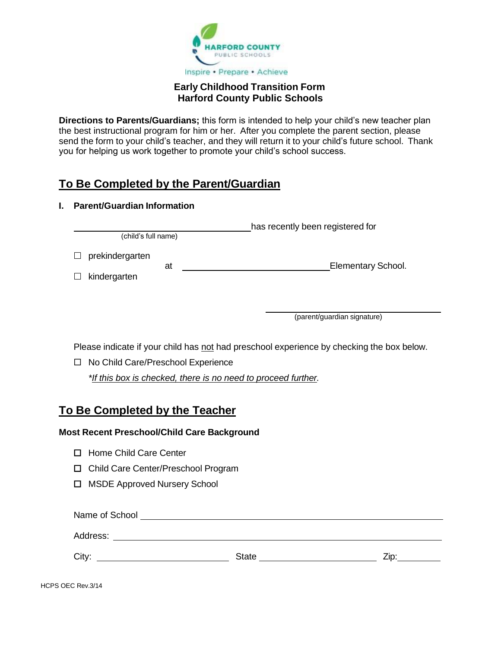

# **Early Childhood Transition Form Harford County Public Schools**

**Directions to Parents/Guardians;** this form is intended to help your child's new teacher plan the best instructional program for him or her. After you complete the parent section, please send the form to your child's teacher, and they will return it to your child's future school. Thank you for helping us work together to promote your child's school success.

# **To Be Completed by the Parent/Guardian**

# **I. Parent/Guardian Information**

has recently been registered for (child's full name)

 $\Box$  prekindergarten  $\Box$  kindergarten at Elementary School.

(parent/guardian signature)

Please indicate if your child has not had preschool experience by checking the box below.

□ No Child Care/Preschool Experience *\*If this box is checked, there is no need to proceed further.*

# **To Be Completed by the Teacher**

# **Most Recent Preschool/Child Care Background**

- □ Home Child Care Center
- Child Care Center/Preschool Program
- □ MSDE Approved Nursery School

| Name of School |              |      |  |  |
|----------------|--------------|------|--|--|
| Address:       |              |      |  |  |
| City:          | <b>State</b> | 7in. |  |  |
|                |              |      |  |  |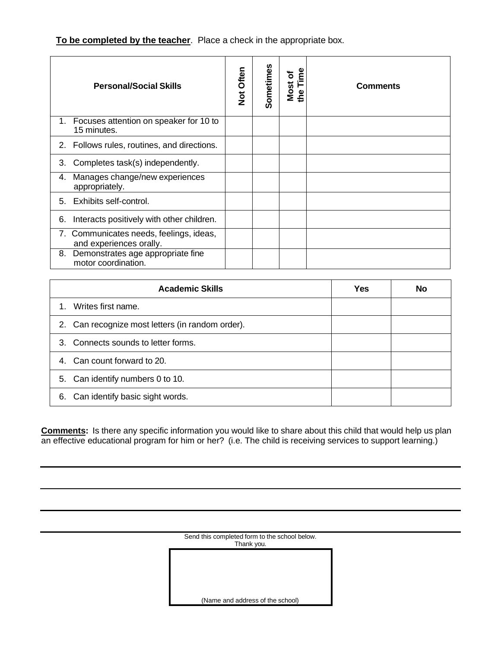**To be completed by the teacher**. Place a check in the appropriate box.

|    | <b>Personal/Social Skills</b>                                      | Not Often | Sometimes | Time<br>ō<br><b>Most</b><br>the | <b>Comments</b> |
|----|--------------------------------------------------------------------|-----------|-----------|---------------------------------|-----------------|
|    | 1. Focuses attention on speaker for 10 to<br>15 minutes.           |           |           |                                 |                 |
|    | 2. Follows rules, routines, and directions.                        |           |           |                                 |                 |
| 3. | Completes task(s) independently.                                   |           |           |                                 |                 |
| 4. | Manages change/new experiences<br>appropriately.                   |           |           |                                 |                 |
|    | 5. Exhibits self-control.                                          |           |           |                                 |                 |
| 6. | Interacts positively with other children.                          |           |           |                                 |                 |
|    | 7. Communicates needs, feelings, ideas,<br>and experiences orally. |           |           |                                 |                 |
| 8. | Demonstrates age appropriate fine<br>motor coordination.           |           |           |                                 |                 |

| <b>Academic Skills</b>                           | <b>Yes</b> | No |
|--------------------------------------------------|------------|----|
| Writes first name.                               |            |    |
| 2. Can recognize most letters (in random order). |            |    |
| 3. Connects sounds to letter forms.              |            |    |
| 4. Can count forward to 20.                      |            |    |
| 5. Can identify numbers 0 to 10.                 |            |    |
| Can identify basic sight words.<br>6.            |            |    |

**Comments:** Is there any specific information you would like to share about this child that would help us plan an effective educational program for him or her? (i.e. The child is receiving services to support learning.)